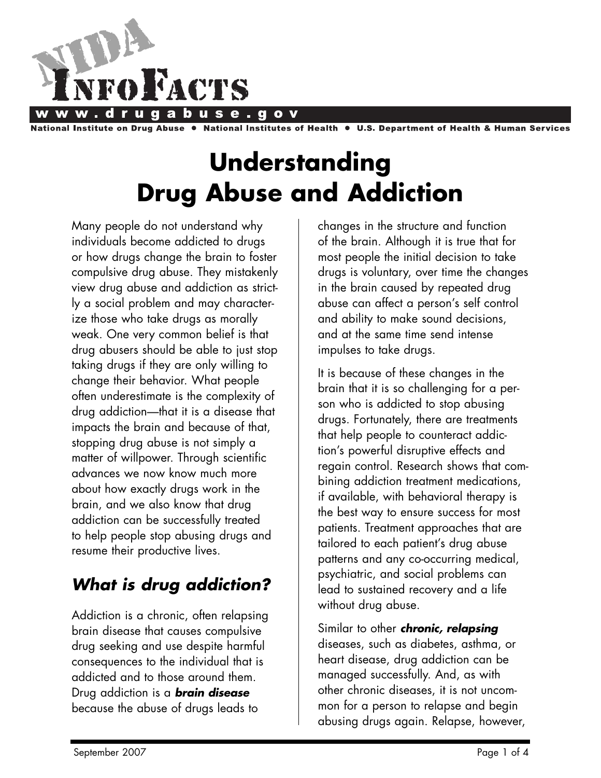

**Drug Abuse**  $\bullet$ National Institutes of Health  $\bullet$ **U.S. Department of Health & Human Services** Institute on

# **Understanding Drug Abuse and Addiction**

Many people do not understand why individuals become addicted to drugs or how drugs change the brain to foster compulsive drug abuse. They mistakenly view drug abuse and addiction as strictly a social problem and may characterize those who take drugs as morally weak. One very common belief is that drug abusers should be able to just stop taking drugs if they are only willing to change their behavior. What people often underestimate is the complexity of drug addiction—that it is a disease that impacts the brain and because of that, stopping drug abuse is not simply a matter of willpower. Through scientific advances we now know much more about how exactly drugs work in the brain, and we also know that drug addiction can be successfully treated to help people stop abusing drugs and resume their productive lives.

## *What is drug addiction?*

Addiction is a chronic, often relapsing brain disease that causes compulsive drug seeking and use despite harmful consequences to the individual that is addicted and to those around them. Drug addiction is a *brain disease* because the abuse of drugs leads to

changes in the structure and function of the brain. Although it is true that for most people the initial decision to take drugs is voluntary, over time the changes in the brain caused by repeated drug abuse can affect a person's self control and ability to make sound decisions, and at the same time send intense impulses to take drugs.

It is because of these changes in the brain that it is so challenging for a person who is addicted to stop abusing drugs. Fortunately, there are treatments that help people to counteract addiction's powerful disruptive effects and regain control. Research shows that combining addiction treatment medications, if available, with behavioral therapy is the best way to ensure success for most patients. Treatment approaches that are tailored to each patient's drug abuse patterns and any co-occurring medical, psychiatric, and social problems can lead to sustained recovery and a life without drug abuse.

Similar to other *chronic, relapsing*  diseases, such as diabetes, asthma, or heart disease, drug addiction can be managed successfully. And, as with other chronic diseases, it is not uncommon for a person to relapse and begin abusing drugs again. Relapse, however,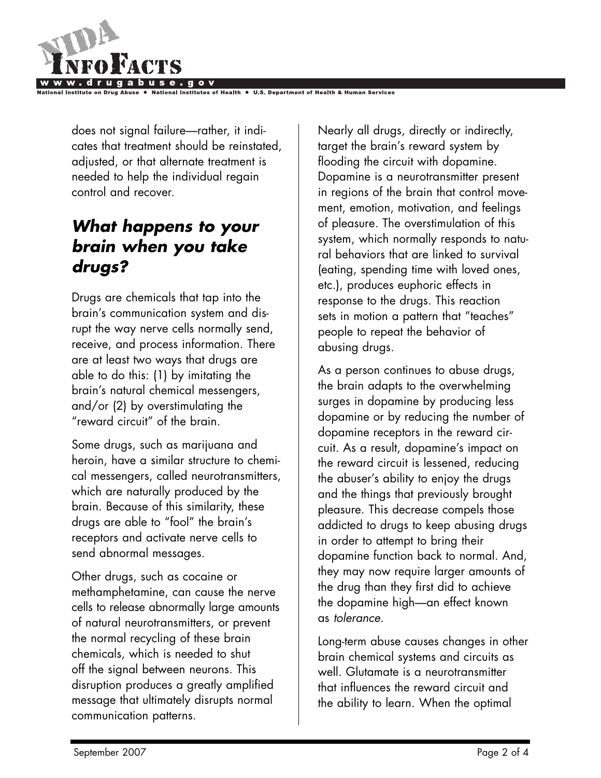

does not signal failure—rather, it indicates that treatment should be reinstated, adjusted, or that alternate treatment is needed to help the individual regain control and recover.

### *What happens to your brain when you take drugs?*

Drugs are chemicals that tap into the brain's communication system and disrupt the way nerve cells normally send, receive, and process information. There are at least two ways that drugs are able to do this: (1) by imitating the brain's natural chemical messengers, and/or (2) by overstimulating the "reward circuit" of the brain.

Some drugs, such as marijuana and heroin, have a similar structure to chemical messengers, called neurotransmitters, which are naturally produced by the brain. Because of this similarity, these drugs are able to "fool" the brain's receptors and activate nerve cells to send abnormal messages.

Other drugs, such as cocaine or methamphetamine, can cause the nerve cells to release abnormally large amounts of natural neurotransmitters, or prevent the normal recycling of these brain chemicals, which is needed to shut off the signal between neurons. This disruption produces a greatly amplified message that ultimately disrupts normal communication patterns.

Nearly all drugs, directly or indirectly, target the brain's reward system by flooding the circuit with dopamine. Dopamine is a neurotransmitter present in regions of the brain that control movement, emotion, motivation, and feelings of pleasure. The overstimulation of this system, which normally responds to natural behaviors that are linked to survival (eating, spending time with loved ones, etc.), produces euphoric effects in response to the drugs. This reaction sets in motion a pattern that "teaches" people to repeat the behavior of abusing drugs.

As a person continues to abuse drugs, the brain adapts to the overwhelming surges in dopamine by producing less dopamine or by reducing the number of dopamine receptors in the reward circuit. As a result, dopamine's impact on the reward circuit is lessened, reducing the abuser's ability to enjoy the drugs and the things that previously brought pleasure. This decrease compels those addicted to drugs to keep abusing drugs in order to attempt to bring their dopamine function back to normal. And, they may now require larger amounts of the drug than they first did to achieve the dopamine high—an effect known as *tolerance*.

Long-term abuse causes changes in other brain chemical systems and circuits as well. Glutamate is a neurotransmitter that influences the reward circuit and the ability to learn. When the optimal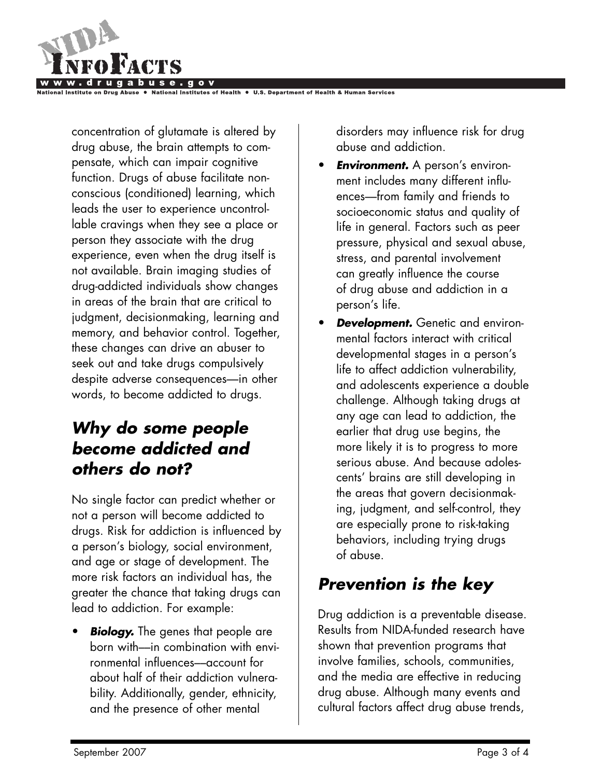

concentration of glutamate is altered by drug abuse, the brain attempts to compensate, which can impair cognitive function. Drugs of abuse facilitate nonconscious (conditioned) learning, which leads the user to experience uncontrollable cravings when they see a place or person they associate with the drug experience, even when the drug itself is not available. Brain imaging studies of drug-addicted individuals show changes in areas of the brain that are critical to judgment, decisionmaking, learning and memory, and behavior control. Together, these changes can drive an abuser to seek out and take drugs compulsively despite adverse consequences—in other words, to become addicted to drugs.

### *Why do some people become addicted and others do not?*

No single factor can predict whether or not a person will become addicted to drugs. Risk for addiction is influenced by a person's biology, social environment, and age or stage of development. The more risk factors an individual has, the greater the chance that taking drugs can lead to addiction. For example:

• *Biology.* The genes that people are born with––in combination with environmental influences––account for about half of their addiction vulnerability. Additionally, gender, ethnicity, and the presence of other mental

disorders may influence risk for drug abuse and addiction.

- **Environment.** A person's environment includes many different influences––from family and friends to socioeconomic status and quality of life in general. Factors such as peer pressure, physical and sexual abuse, stress, and parental involvement can greatly influence the course of drug abuse and addiction in a person's life.
- **Development.** Genetic and environmental factors interact with critical developmental stages in a person's life to affect addiction vulnerability, and adolescents experience a double challenge. Although taking drugs at any age can lead to addiction, the earlier that drug use begins, the more likely it is to progress to more serious abuse. And because adolescents' brains are still developing in the areas that govern decisionmaking, judgment, and self-control, they are especially prone to risk-taking behaviors, including trying drugs of abuse.

# *Prevention is the key*

Drug addiction is a preventable disease. Results from NIDA-funded research have shown that prevention programs that involve families, schools, communities, and the media are effective in reducing drug abuse. Although many events and cultural factors affect drug abuse trends,